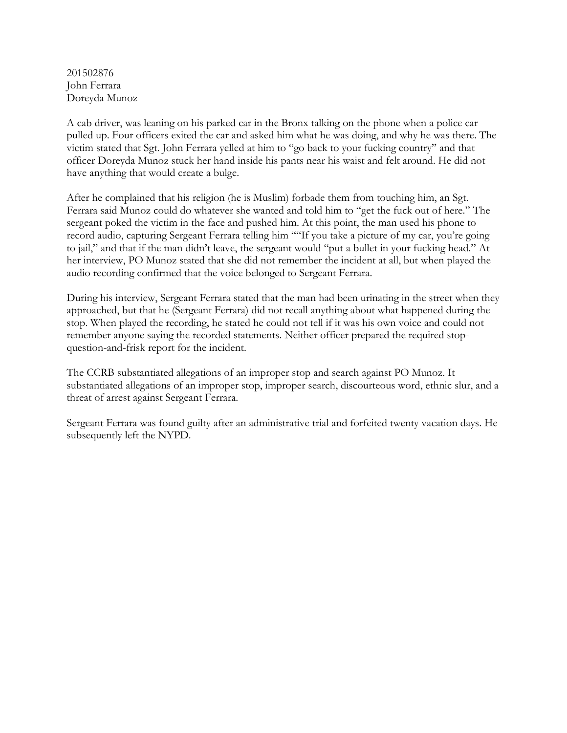201502876 John Ferrara Doreyda Munoz

A cab driver, was leaning on his parked car in the Bronx talking on the phone when a police car pulled up. Four officers exited the car and asked him what he was doing, and why he was there. The victim stated that Sgt. John Ferrara yelled at him to "go back to your fucking country" and that officer Doreyda Munoz stuck her hand inside his pants near his waist and felt around. He did not have anything that would create a bulge.

After he complained that his religion (he is Muslim) forbade them from touching him, an Sgt. Ferrara said Munoz could do whatever she wanted and told him to "get the fuck out of here." The sergeant poked the victim in the face and pushed him. At this point, the man used his phone to record audio, capturing Sergeant Ferrara telling him ""If you take a picture of my car, you're going to jail," and that if the man didn't leave, the sergeant would "put a bullet in your fucking head." At her interview, PO Munoz stated that she did not remember the incident at all, but when played the audio recording confirmed that the voice belonged to Sergeant Ferrara.

During his interview, Sergeant Ferrara stated that the man had been urinating in the street when they approached, but that he (Sergeant Ferrara) did not recall anything about what happened during the stop. When played the recording, he stated he could not tell if it was his own voice and could not remember anyone saying the recorded statements. Neither officer prepared the required stopquestion-and-frisk report for the incident.

The CCRB substantiated allegations of an improper stop and search against PO Munoz. It substantiated allegations of an improper stop, improper search, discourteous word, ethnic slur, and a threat of arrest against Sergeant Ferrara.

Sergeant Ferrara was found guilty after an administrative trial and forfeited twenty vacation days. He subsequently left the NYPD.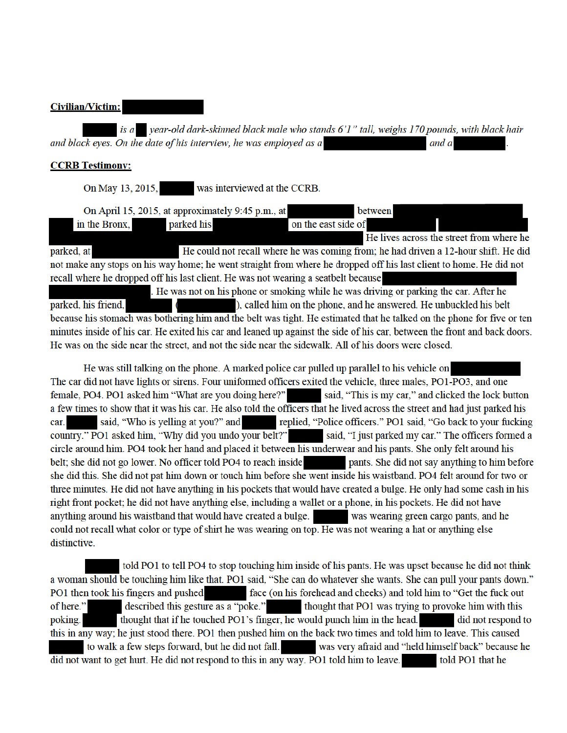### **Civilian/Victim:**

is a vear-old dark-skinned black male who stands 6'1" tall, weighs 170 pounds, with black hair and black eyes. On the date of his interview, he was employed as a and a

## **CCRB Testimony:**

On May 13, 2015, was interviewed at the CCRB.

|                                                                                                                           | On April 15, 2015, at approximately 9:45 p.m., at | between                                                                                |                                          |
|---------------------------------------------------------------------------------------------------------------------------|---------------------------------------------------|----------------------------------------------------------------------------------------|------------------------------------------|
| in the Bronx,                                                                                                             | parked his                                        | on the east side of                                                                    |                                          |
|                                                                                                                           |                                                   |                                                                                        | He lives across the street from where he |
| parked, at                                                                                                                |                                                   | He could not recall where he was coming from; he had driven a 12-hour shift. He did    |                                          |
| not make any stops on his way home; he went straight from where he dropped off his last client to home. He did not        |                                                   |                                                                                        |                                          |
| recall where he dropped off his last client. He was not wearing a seatbelt because                                        |                                                   |                                                                                        |                                          |
|                                                                                                                           |                                                   | . He was not on his phone or smoking while he was driving or parking the car. After he |                                          |
| parked, his friend,<br>$\sim$ $\sim$                                                                                      |                                                   | ), called him on the phone, and he answered. He unbuckled his belt                     |                                          |
| because his stomach was bothering him and the belt was tight. He estimated that he talked on the phone for five or ten    |                                                   |                                                                                        |                                          |
| minutes inside of his car. He exited his car and leaned up against the side of his car, between the front and back doors. |                                                   |                                                                                        |                                          |
| He was on the side near the street, and not the side near the sidewalk. All of his doors were closed.                     |                                                   |                                                                                        |                                          |

He was still talking on the phone. A marked police car pulled up parallel to his vehicle on The car did not have lights or sirens. Four uniformed officers exited the vehicle, three males, PO1-PO3, and one female, PO4. PO1 asked him "What are you doing here?" said, "This is my car," and clicked the lock button a few times to show that it was his car. He also told the officers that he lived across the street and had just parked his said, "Who is yelling at you?" and replied, "Police officers." PO1 said, "Go back to your fucking car. country." PO1 asked him, "Why did you undo your belt?" said, "I just parked my car." The officers formed a circle around him. PO4 took her hand and placed it between his underwear and his pants. She only felt around his belt; she did not go lower. No officer told PO4 to reach inside pants. She did not say anything to him before she did this. She did not pat him down or touch him before she went inside his waistband. PO4 felt around for two or three minutes. He did not have anything in his pockets that would have created a bulge. He only had some cash in his right front pocket; he did not have anything else, including a wallet or a phone, in his pockets. He did not have anything around his waistband that would have created a bulge. was wearing green cargo pants, and he could not recall what color or type of shirt he was wearing on top. He was not wearing a hat or anything else distinctive.

told PO1 to tell PO4 to stop touching him inside of his pants. He was upset because he did not think a woman should be touching him like that. PO1 said, "She can do whatever she wants. She can pull your pants down." PO1 then took his fingers and pushed face (on his forehead and cheeks) and told him to "Get the fuck out of here." described this gesture as a "poke." thought that PO1 was trying to provoke him with this thought that if he touched PO1's finger, he would punch him in the head. did not respond to poking. this in any way; he just stood there. PO1 then pushed him on the back two times and told him to leave. This caused to walk a few steps forward, but he did not fall. was very afraid and "held himself back" because he did not want to get hurt. He did not respond to this in any way. PO1 told him to leave. told PO1 that he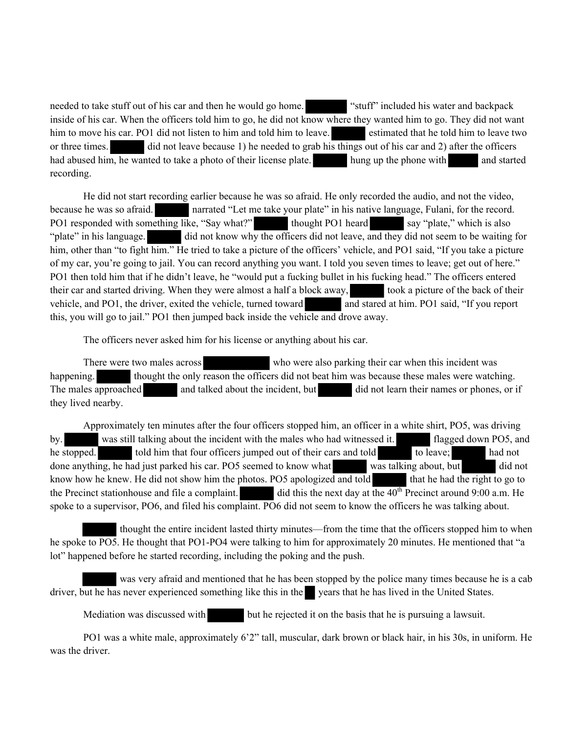needed to take stuff out of his car and then he would go home. "stuff" included his water and backpack inside of his car. When the officers told him to go, he did not know where they wanted him to go. They did not want him to move his car. PO1 did not listen to him and told him to leave. estimated that he told him to leave two or three times. did not leave because 1) he needed to grab his things out of his car and 2) after the officers had abused him, he wanted to take a photo of their license plate. hung up the phone with and started recording.

He did not start recording earlier because he was so afraid. He only recorded the audio, and not the video, because he was so afraid. narrated "Let me take your plate" in his native language, Fulani, for the record. PO1 responded with something like, "Say what?" thought PO1 heard say "plate," which is also "plate" in his language. did not know why the officers did not leave, and they did not seem to be waiting for him, other than "to fight him." He tried to take a picture of the officers' vehicle, and PO1 said, "If you take a picture of my car, you're going to jail. You can record anything you want. I told you seven times to leave; get out of here." PO1 then told him that if he didn't leave, he "would put a fucking bullet in his fucking head." The officers entered their car and started driving. When they were almost a half a block away, took a picture of the back of their vehicle, and PO1, the driver, exited the vehicle, turned toward and stared at him. PO1 said, "If you report this, you will go to jail." PO1 then jumped back inside the vehicle and drove away.

The officers never asked him for his license or anything about his car.

There were two males across who were also parking their car when this incident was happening. thought the only reason the officers did not beat him was because these males were watching. The males approached and talked about the incident, but did not learn their names or phones, or if they lived nearby.

Approximately ten minutes after the four officers stopped him, an officer in a white shirt, PO5, was driving by. was still talking about the incident with the males who had witnessed it. **Fixture** flagged down PO5, and he stopped. told him that four officers jumped out of their cars and told to leave; had not done anything, he had just parked his car. PO5 seemed to know what was talking about, but did not know how he knew. He did not show him the photos. PO5 apologized and told that he had the right to go to the Precinct stationhouse and file a complaint. did this the next day at the  $40<sup>th</sup>$  Precinct around 9:00 a.m. He spoke to a supervisor, PO6, and filed his complaint. PO6 did not seem to know the officers he was talking about.

 thought the entire incident lasted thirty minutes—from the time that the officers stopped him to when he spoke to PO5. He thought that PO1-PO4 were talking to him for approximately 20 minutes. He mentioned that "a lot" happened before he started recording, including the poking and the push.

 was very afraid and mentioned that he has been stopped by the police many times because he is a cab driver, but he has never experienced something like this in the years that he has lived in the United States.

Mediation was discussed with but he rejected it on the basis that he is pursuing a lawsuit.

PO1 was a white male, approximately 6'2" tall, muscular, dark brown or black hair, in his 30s, in uniform. He was the driver.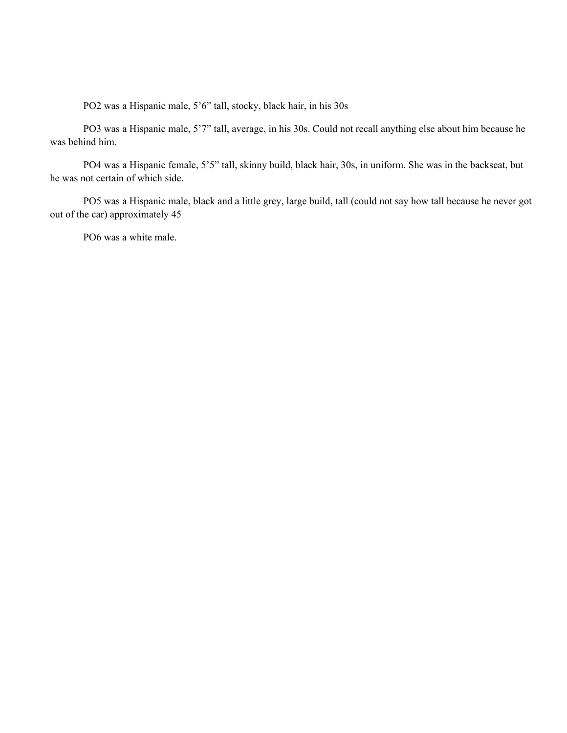PO2 was a Hispanic male, 5'6" tall, stocky, black hair, in his 30s

PO3 was a Hispanic male, 5'7" tall, average, in his 30s. Could not recall anything else about him because he was behind him.

PO4 was a Hispanic female, 5'5" tall, skinny build, black hair, 30s, in uniform. She was in the backseat, but he was not certain of which side.

PO5 was a Hispanic male, black and a little grey, large build, tall (could not say how tall because he never got out of the car) approximately 45

PO6 was a white male.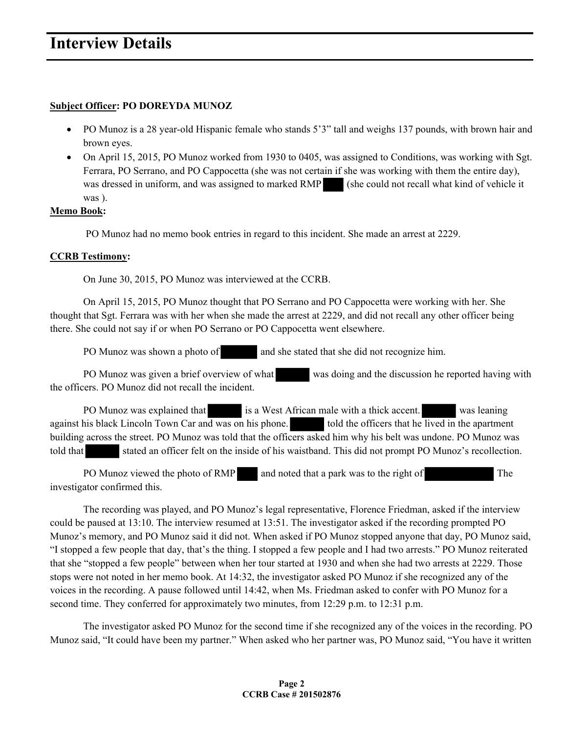### **Subject Officer: PO DOREYDA MUNOZ**

- PO Munoz is a 28 year-old Hispanic female who stands 5'3" tall and weighs 137 pounds, with brown hair and brown eyes.
- On April 15, 2015, PO Munoz worked from 1930 to 0405, was assigned to Conditions, was working with Sgt. Ferrara, PO Serrano, and PO Cappocetta (she was not certain if she was working with them the entire day), was dressed in uniform, and was assigned to marked RMP (she could not recall what kind of vehicle it was ).

### **Memo Book:**

PO Munoz had no memo book entries in regard to this incident. She made an arrest at 2229.

### **CCRB Testimony:**

On June 30, 2015, PO Munoz was interviewed at the CCRB.

 On April 15, 2015, PO Munoz thought that PO Serrano and PO Cappocetta were working with her. She thought that Sgt. Ferrara was with her when she made the arrest at 2229, and did not recall any other officer being there. She could not say if or when PO Serrano or PO Cappocetta went elsewhere.

PO Munoz was shown a photo of and she stated that she did not recognize him.

PO Munoz was given a brief overview of what was doing and the discussion he reported having with the officers. PO Munoz did not recall the incident.

PO Munoz was explained that is a West African male with a thick accent. was leaning against his black Lincoln Town Car and was on his phone. told the officers that he lived in the apartment building across the street. PO Munoz was told that the officers asked him why his belt was undone. PO Munoz was told that stated an officer felt on the inside of his waistband. This did not prompt PO Munoz's recollection.

PO Munoz viewed the photo of RMP and noted that a park was to the right of The investigator confirmed this.

 The recording was played, and PO Munoz's legal representative, Florence Friedman, asked if the interview could be paused at 13:10. The interview resumed at 13:51. The investigator asked if the recording prompted PO Munoz's memory, and PO Munoz said it did not. When asked if PO Munoz stopped anyone that day, PO Munoz said, "I stopped a few people that day, that's the thing. I stopped a few people and I had two arrests." PO Munoz reiterated that she "stopped a few people" between when her tour started at 1930 and when she had two arrests at 2229. Those stops were not noted in her memo book. At 14:32, the investigator asked PO Munoz if she recognized any of the voices in the recording. A pause followed until 14:42, when Ms. Friedman asked to confer with PO Munoz for a second time. They conferred for approximately two minutes, from 12:29 p.m. to 12:31 p.m.

 The investigator asked PO Munoz for the second time if she recognized any of the voices in the recording. PO Munoz said, "It could have been my partner." When asked who her partner was, PO Munoz said, "You have it written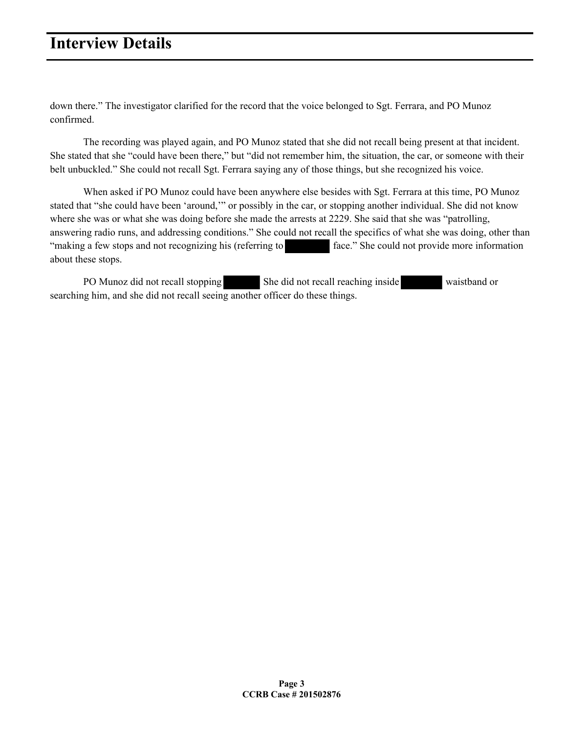down there." The investigator clarified for the record that the voice belonged to Sgt. Ferrara, and PO Munoz confirmed.

 The recording was played again, and PO Munoz stated that she did not recall being present at that incident. She stated that she "could have been there," but "did not remember him, the situation, the car, or someone with their belt unbuckled." She could not recall Sgt. Ferrara saying any of those things, but she recognized his voice.

 When asked if PO Munoz could have been anywhere else besides with Sgt. Ferrara at this time, PO Munoz stated that "she could have been 'around,'" or possibly in the car, or stopping another individual. She did not know where she was or what she was doing before she made the arrests at 2229. She said that she was "patrolling, answering radio runs, and addressing conditions." She could not recall the specifics of what she was doing, other than "making a few stops and not recognizing his (referring to face." She could not provide more information about these stops.

PO Munoz did not recall stopping She did not recall reaching inside waistband or searching him, and she did not recall seeing another officer do these things.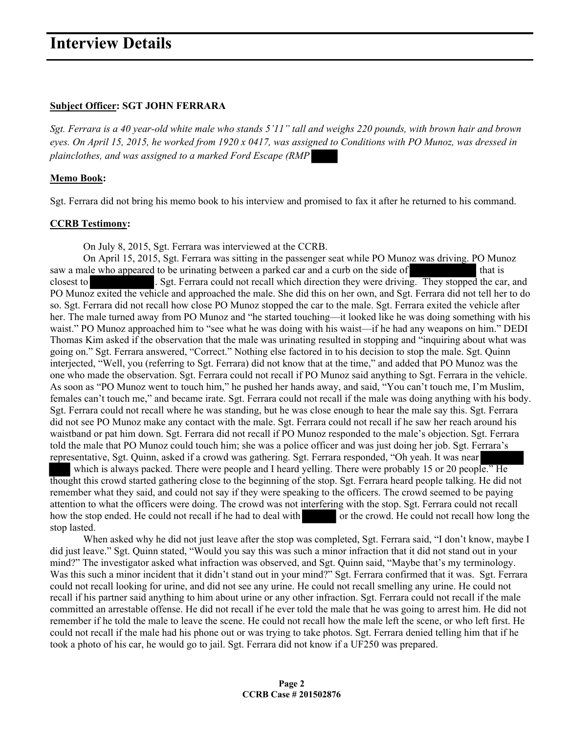#### **Subject Officer: SGT JOHN FERRARA**

*Sgt. Ferrara is a 40 year-old white male who stands 5'11" tall and weighs 220 pounds, with brown hair and brown eyes. On April 15, 2015, he worked from 1920 x 0417, was assigned to Conditions with PO Munoz, was dressed in plainclothes, and was assigned to a marked Ford Escape (RMP* 

### **Memo Book:**

Sgt. Ferrara did not bring his memo book to his interview and promised to fax it after he returned to his command.

### **CCRB Testimony:**

On July 8, 2015, Sgt. Ferrara was interviewed at the CCRB.

 On April 15, 2015, Sgt. Ferrara was sitting in the passenger seat while PO Munoz was driving. PO Munoz saw a male who appeared to be urinating between a parked car and a curb on the side of that is closest to . Sgt. Ferrara could not recall which direction they were driving. They stopped the car, and PO Munoz exited the vehicle and approached the male. She did this on her own, and Sgt. Ferrara did not tell her to do so. Sgt. Ferrara did not recall how close PO Munoz stopped the car to the male. Sgt. Ferrara exited the vehicle after her. The male turned away from PO Munoz and "he started touching—it looked like he was doing something with his waist." PO Munoz approached him to "see what he was doing with his waist—if he had any weapons on him." DEDI Thomas Kim asked if the observation that the male was urinating resulted in stopping and "inquiring about what was going on." Sgt. Ferrara answered, "Correct." Nothing else factored in to his decision to stop the male. Sgt. Quinn interjected, "Well, you (referring to Sgt. Ferrara) did not know that at the time," and added that PO Munoz was the one who made the observation. Sgt. Ferrara could not recall if PO Munoz said anything to Sgt. Ferrara in the vehicle. As soon as "PO Munoz went to touch him," he pushed her hands away, and said, "You can't touch me, I'm Muslim, females can't touch me," and became irate. Sgt. Ferrara could not recall if the male was doing anything with his body. Sgt. Ferrara could not recall where he was standing, but he was close enough to hear the male say this. Sgt. Ferrara did not see PO Munoz make any contact with the male. Sgt. Ferrara could not recall if he saw her reach around his waistband or pat him down. Sgt. Ferrara did not recall if PO Munoz responded to the male's objection. Sgt. Ferrara told the male that PO Munoz could touch him; she was a police officer and was just doing her job. Sgt. Ferrara's representative, Sgt. Quinn, asked if a crowd was gathering. Sgt. Ferrara responded, "Oh yeah. It was near

which is always packed. There were people and I heard yelling. There were probably 15 or 20 people." He thought this crowd started gathering close to the beginning of the stop. Sgt. Ferrara heard people talking. He did not remember what they said, and could not say if they were speaking to the officers. The crowd seemed to be paying attention to what the officers were doing. The crowd was not interfering with the stop. Sgt. Ferrara could not recall how the stop ended. He could not recall if he had to deal with or the crowd. He could not recall how long the stop lasted.

When asked why he did not just leave after the stop was completed, Sgt. Ferrara said, "I don't know, maybe I did just leave." Sgt. Quinn stated, "Would you say this was such a minor infraction that it did not stand out in your mind?" The investigator asked what infraction was observed, and Sgt. Quinn said, "Maybe that's my terminology. Was this such a minor incident that it didn't stand out in your mind?" Sgt. Ferrara confirmed that it was. Sgt. Ferrara could not recall looking for urine, and did not see any urine. He could not recall smelling any urine. He could not recall if his partner said anything to him about urine or any other infraction. Sgt. Ferrara could not recall if the male committed an arrestable offense. He did not recall if he ever told the male that he was going to arrest him. He did not remember if he told the male to leave the scene. He could not recall how the male left the scene, or who left first. He could not recall if the male had his phone out or was trying to take photos. Sgt. Ferrara denied telling him that if he took a photo of his car, he would go to jail. Sgt. Ferrara did not know if a UF250 was prepared.